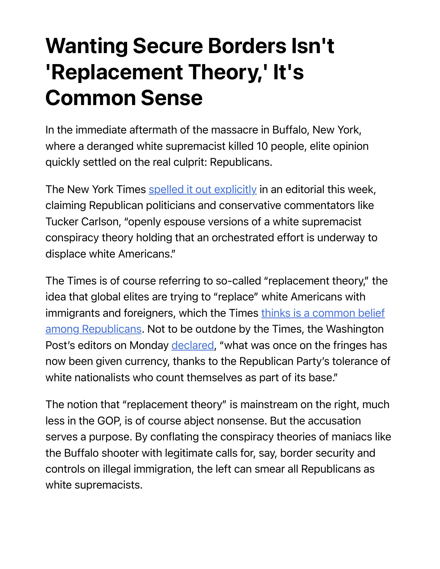## Wanting Secure Borders Isn't 'Replacement Theory,' It's Common Sense

In the immediate aftermath of the massacre in Buffalo, New York, where a deranged white supremacist killed 10 people, elite opinion quickly settled on the real culprit: Republicans.

The New York Times spelled it out explicitly in an editorial this week, claiming Republican politicians and conservative commentators like Tucker Carlson, "openly espouse versions of a white supremacist conspiracy theory holding that an orchestrated effort is underway to displace white Americans."

The Times is of course referring to so-called "replacement theory," the idea that global elites are trying to "replace" white Americans with immigrants and foreigners, which the Times thinks is a common belief among Republicans. Not to be outdone by the Times, the Washington Post's editors on Monday declared, "what was once on the fringes has now been given currency, thanks to the Republican Party's tolerance of white nationalists who count themselves as part of its base."

The notion that "replacement theory" is mainstream on the right, much less in the GOP, is of course abject nonsense. But the accusation serves a purpose. By conflating the conspiracy theories of maniacs like the Buffalo shooter with legitimate calls for, say, border security and controls on illegal immigration, the left can smear all Republicans as white supremacists.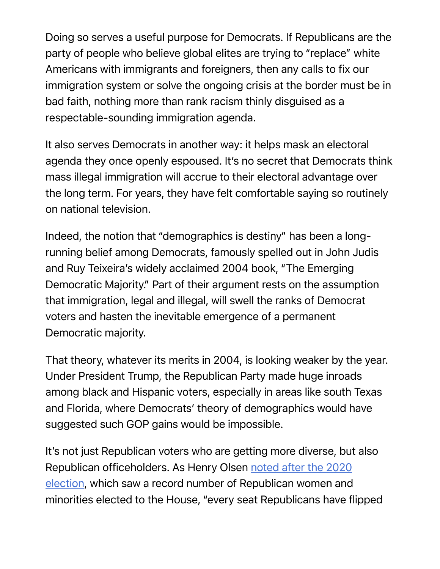Doing so serves a useful purpose for Democrats. If Republicans are the party of people who believe global elites are trying to "replace" white Americans with immigrants and foreigners, then any calls to fix our immigration system or solve the ongoing crisis at the border must be in bad faith, nothing more than rank racism thinly disguised as a respectable-sounding immigration agenda.

It also serves Democrats in another way: it helps mask an electoral agenda they once openly espoused. It's no secret that Democrats think mass illegal immigration will accrue to their electoral advantage over the long term. For years, they have felt comfortable saying so routinely on national television.

Indeed, the notion that "demographics is destiny" has been a longrunning belief among Democrats, famously spelled out in John Judis and Ruy Teixeira's widely acclaimed 2004 book, "The Emerging Democratic Majority." Part of their argument rests on the assumption that immigration, legal and illegal, will swell the ranks of Democrat voters and hasten the inevitable emergence of a permanent Democratic majority.

That theory, whatever its merits in 2004, is looking weaker by the year. Under President Trump, the Republican Party made huge inroads among black and Hispanic voters, especially in areas like south Texas and Florida, where Democrats' theory of demographics would have suggested such GOP gains would be impossible.

It's not just Republican voters who are getting more diverse, but also Republican officeholders. As Henry Olsen noted after the 2020 election, which saw a record number of Republican women and minorities elected to the House, "every seat Republicans have flipped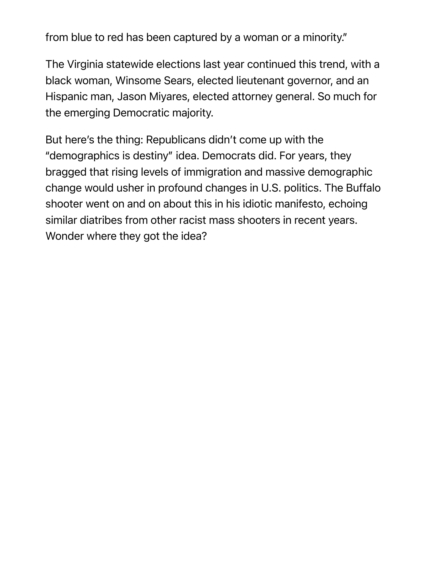from blue to red has been captured by a woman or a minority."

The Virginia statewide elections last year continued this trend, with a black woman, Winsome Sears, elected lieutenant governor, and an Hispanic man, Jason Miyares, elected attorney general. So much for the emerging Democratic majority.

But here's the thing: Republicans didn't come up with the "demographics is destiny" idea. Democrats did. For years, they bragged that rising levels of immigration and massive demographic change would usher in profound changes in U.S. politics. The Buffalo shooter went on and on about this in his idiotic manifesto, echoing similar diatribes from other racist mass shooters in recent years. Wonder where they got the idea?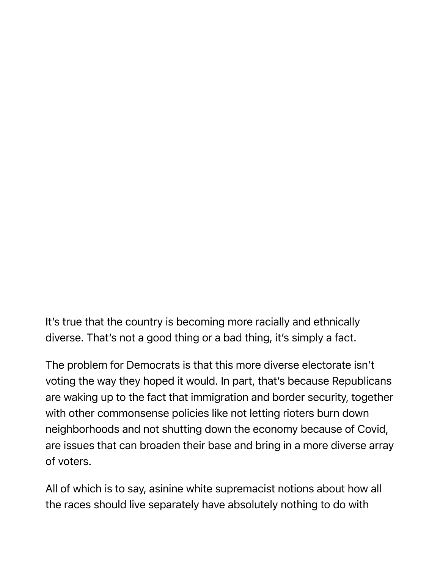It's true that the country is becoming more racially and ethnically diverse. That's not a good thing or a bad thing, it's simply a fact.

The problem for Democrats is that this more diverse electorate isn't voting the way they hoped it would. In part, that's because Republicans are waking up to the fact that immigration and border security, together with other commonsense policies like not letting rioters burn down neighborhoods and not shutting down the economy because of Covid, are issues that can broaden their base and bring in a more diverse array of voters.

All of which is to say, asinine white supremacist notions about how all the races should live separately have absolutely nothing to do with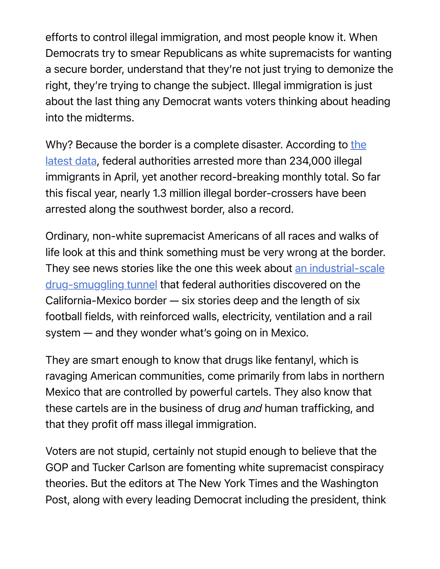efforts to control illegal immigration, and most people know it. When Democrats try to smear Republicans as white supremacists for wanting a secure border, understand that they're not just trying to demonize the right, they're trying to change the subject. Illegal immigration is just about the last thing any Democrat wants voters thinking about heading into the midterms.

Why? Because the border is a complete disaster. According to the latest data, federal authorities arrested more than 234,000 illegal immigrants in April, yet another record-breaking monthly total. So far this fiscal year, nearly 1.3 million illegal border-crossers have been arrested along the southwest border, also a record.

Ordinary, non-white supremacist Americans of all races and walks of life look at this and think something must be very wrong at the border. They see news stories like the one this week about an industrial-scale drug-smuggling tunnel that federal authorities discovered on the California-Mexico border — six stories deep and the length of six football fields, with reinforced walls, electricity, ventilation and a rail system — and they wonder what's going on in Mexico.

They are smart enough to know that drugs like fentanyl, which is ravaging American communities, come primarily from labs in northern Mexico that are controlled by powerful cartels. They also know that these cartels are in the business of drug *and* human trafficking, and that they profit off mass illegal immigration.

Voters are not stupid, certainly not stupid enough to believe that the GOP and Tucker Carlson are fomenting white supremacist conspiracy theories. But the editors at The New York Times and the Washington Post, along with every leading Democrat including the president, think